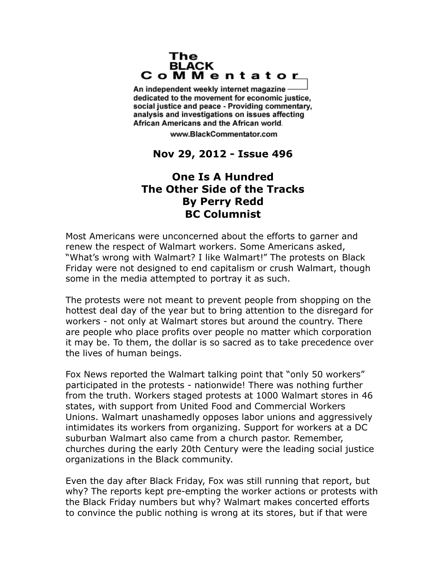## The **BLACK** CoMMentator

An independent weekly internet magazine dedicated to the movement for economic justice. social justice and peace - Providing commentary, analysis and investigations on issues affecting African Americans and the African world.

www.BlackCommentator.com

## **Nov 29, 2012 - Issue 496**

## **One Is A Hundred The Other Side of the Tracks By Perry Redd BC Columnist**

Most Americans were unconcerned about the efforts to garner and renew the respect of Walmart workers. Some Americans asked, "What's wrong with Walmart? I like Walmart!" The protests on Black Friday were not designed to end capitalism or crush Walmart, though some in the media attempted to portray it as such.

The protests were not meant to prevent people from shopping on the hottest deal day of the year but to bring attention to the disregard for workers - not only at Walmart stores but around the country. There are people who place profits over people no matter which corporation it may be. To them, the dollar is so sacred as to take precedence over the lives of human beings.

Fox News reported the Walmart talking point that "only 50 workers" participated in the protests - nationwide! There was nothing further from the truth. Workers staged protests at 1000 Walmart stores in 46 states, with support from United Food and Commercial Workers Unions. Walmart unashamedly opposes labor unions and aggressively intimidates its workers from organizing. Support for workers at a DC suburban Walmart also came from a church pastor. Remember, churches during the early 20th Century were the leading social justice organizations in the Black community.

Even the day after Black Friday, Fox was still running that report, but why? The reports kept pre-empting the worker actions or protests with the Black Friday numbers but why? Walmart makes concerted efforts to convince the public nothing is wrong at its stores, but if that were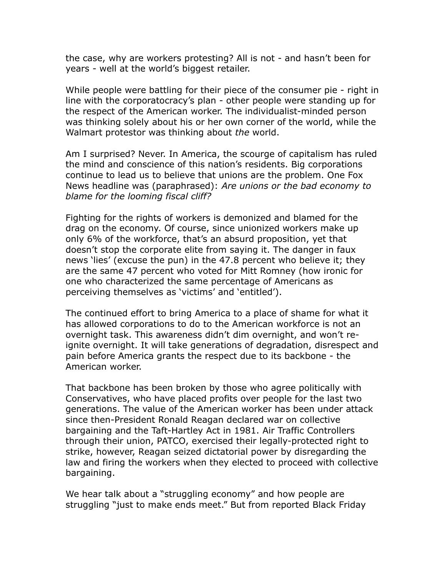the case, why are workers protesting? All is not - and hasn't been for years - well at the world's biggest retailer.

While people were battling for their piece of the consumer pie - right in line with the corporatocracy's plan - other people were standing up for the respect of the American worker. The individualist-minded person was thinking solely about his or her own corner of the world, while the Walmart protestor was thinking about *the* world.

Am I surprised? Never. In America, the scourge of capitalism has ruled the mind and conscience of this nation's residents. Big corporations continue to lead us to believe that unions are the problem. One Fox News headline was (paraphrased): *Are unions or the bad economy to blame for the looming fiscal cliff?*

Fighting for the rights of workers is demonized and blamed for the drag on the economy. Of course, since unionized workers make up only 6% of the workforce, that's an absurd proposition, yet that doesn't stop the corporate elite from saying it. The danger in faux news 'lies' (excuse the pun) in the 47.8 percent who believe it; they are the same 47 percent who voted for Mitt Romney (how ironic for one who characterized the same percentage of Americans as perceiving themselves as 'victims' and 'entitled').

The continued effort to bring America to a place of shame for what it has allowed corporations to do to the American workforce is not an overnight task. This awareness didn't dim overnight, and won't reignite overnight. It will take generations of degradation, disrespect and pain before America grants the respect due to its backbone - the American worker.

That backbone has been broken by those who agree politically with Conservatives, who have placed profits over people for the last two generations. The value of the American worker has been under attack since then-President Ronald Reagan declared war on collective bargaining and the Taft-Hartley Act in 1981. Air Traffic Controllers through their union, PATCO, exercised their legally-protected right to strike, however, Reagan seized dictatorial power by disregarding the law and firing the workers when they elected to proceed with collective bargaining.

We hear talk about a "struggling economy" and how people are struggling "just to make ends meet." But from reported Black Friday